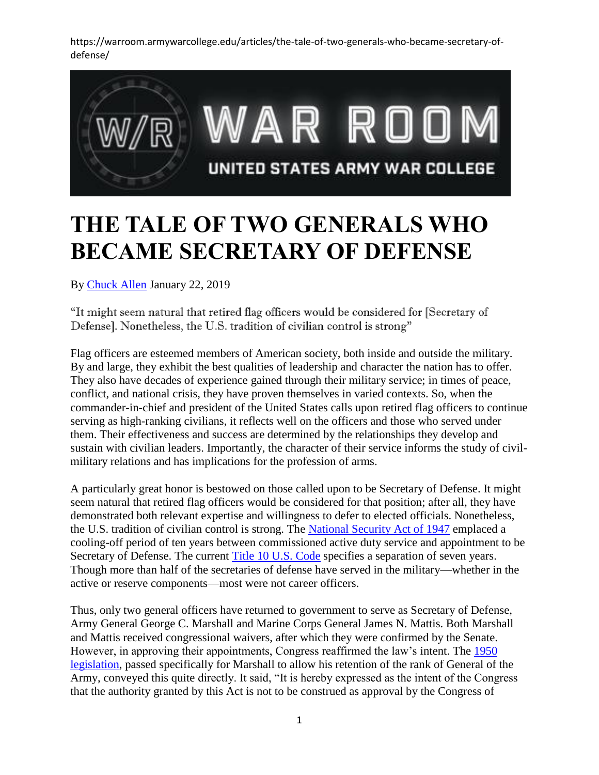

## **THE TALE OF TWO GENERALS WHO BECAME SECRETARY OF DEFENSE**

By [Chuck Allen](https://warroom.armywarcollege.edu/author/chuck-allen/) January 22, 2019

"It might seem natural that retired flag officers would be considered for [Secretary of Defense]. Nonetheless, the U.S. tradition of civilian control is strong"

Flag officers are esteemed members of American society, both inside and outside the military. By and large, they exhibit the best qualities of leadership and character the nation has to offer. They also have decades of experience gained through their military service; in times of peace, conflict, and national crisis, they have proven themselves in varied contexts. So, when the commander-in-chief and president of the United States calls upon retired flag officers to continue serving as high-ranking civilians, it reflects well on the officers and those who served under them. Their effectiveness and success are determined by the relationships they develop and sustain with civilian leaders. Importantly, the character of their service informs the study of civilmilitary relations and has implications for the profession of arms.

A particularly great honor is bestowed on those called upon to be Secretary of Defense. It might seem natural that retired flag officers would be considered for that position; after all, they have demonstrated both relevant expertise and willingness to defer to elected officials. Nonetheless, the U.S. tradition of civilian control is strong. The [National Security Act of 1947](https://legcounsel.house.gov/Comps/National%20Security%20Act%20Of%201947.pdf) emplaced a cooling-off period of ten years between commissioned active duty service and appointment to be Secretary of Defense. The current [Title 10 U.S. Code](http://uscode.house.gov/view.xhtml?path=/prelim@title10&edition=prelim) specifies a separation of seven years. Though more than half of the secretaries of defense have served in the military—whether in the active or reserve components—most were not career officers.

Thus, only two general officers have returned to government to serve as Secretary of Defense, Army General George C. Marshall and Marine Corps General James N. Mattis. Both Marshall and Mattis received congressional waivers, after which they were confirmed by the Senate. However, in approving their appointments, Congress reaffirmed the law's intent. The [1950](https://www.loc.gov/law/help/statutes-at-large/81st-congress/session-2/c81s2ch951.pdf)  [legislation,](https://www.loc.gov/law/help/statutes-at-large/81st-congress/session-2/c81s2ch951.pdf) passed specifically for Marshall to allow his retention of the rank of General of the Army, conveyed this quite directly. It said, "It is hereby expressed as the intent of the Congress that the authority granted by this Act is not to be construed as approval by the Congress of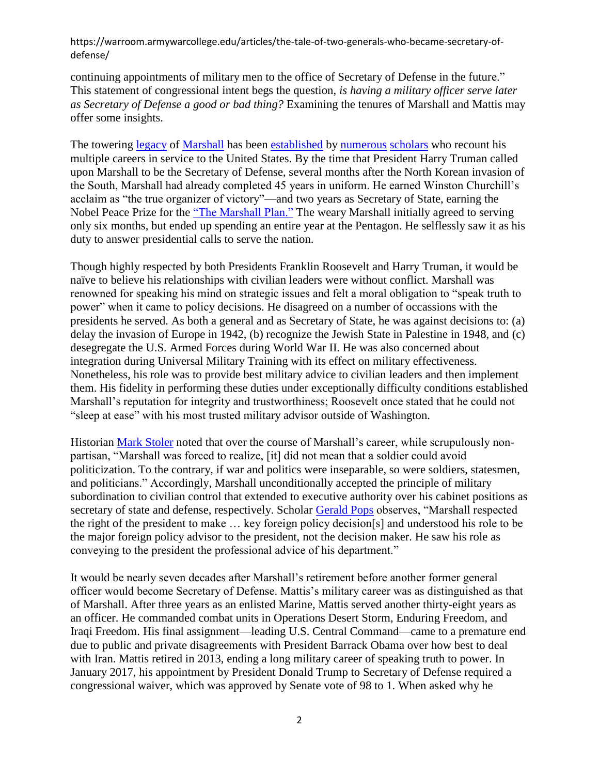continuing appointments of military men to the office of Secretary of Defense in the future." This statement of congressional intent begs the question, *is having a military officer serve later as Secretary of Defense a good or bad thing?* Examining the tenures of Marshall and Mattis may offer some insights.

The towering [legacy](https://books.google.com/books?id=EG1LAAAAYAAJ&q=marshall+pogue&dq=marshall+pogue&hl=en&sa=X&ved=0ahUKEwi9jcm0yebfAhUvSN8KHaGEDpcQ6AEIMTAC) of [Marshall](https://books.google.com/books?id=YiR3AAAAMAAJ&q=marshall+pogue&dq=marshall+pogue&hl=en&sa=X&ved=0ahUKEwi9jcm0yebfAhUvSN8KHaGEDpcQ6AEIUzAI) has been [established](https://books.google.com/books?id=hl0aAQAAIAAJ&q=marshall+stoler&dq=marshall+stoler&hl=en&sa=X&ved=0ahUKEwi9o4TxyebfAhWSUt8KHUTACz8Q6AEIKDAA) by [numerous](https://books.google.com/books?id=qcSgPAAACAAJ&dq=george+c+marshall+husted&hl=en&sa=X&ved=0ahUKEwj4iNyGyubfAhVhT98KHdenCEoQ6AEIKDAA) [scholars](https://books.google.com/books?id=KyeN6ffYFdcC&printsec=frontcover&dq=george+c+marshall+pops&hl=en&sa=X&ved=0ahUKEwi57oeVyubfAhWImeAKHYwmDRYQ6AEIKDAA#v=onepage&q=george%20c%20marshall%20pops&f=false) who recount his multiple careers in service to the United States. By the time that President Harry Truman called upon Marshall to be the Secretary of Defense, several months after the North Korean invasion of the South, Marshall had already completed 45 years in uniform. He earned Winston Churchill's acclaim as "the true organizer of victory"—and two years as Secretary of State, earning the Nobel Peace Prize for the ["The Marshall Plan."](https://www.marshallfoundation.org/blog/marshall-fight-european-recovery-plan/) The weary Marshall initially agreed to serving only six months, but ended up spending an entire year at the Pentagon. He selflessly saw it as his duty to answer presidential calls to serve the nation.

Though highly respected by both Presidents Franklin Roosevelt and Harry Truman, it would be naïve to believe his relationships with civilian leaders were without conflict. Marshall was renowned for speaking his mind on strategic issues and felt a moral obligation to "speak truth to power" when it came to policy decisions. He disagreed on a number of occassions with the presidents he served. As both a general and as Secretary of State, he was against decisions to: (a) delay the invasion of Europe in 1942, (b) recognize the Jewish State in Palestine in 1948, and (c) desegregate the U.S. Armed Forces during World War II. He was also concerned about integration during Universal Military Training with its effect on military effectiveness. Nonetheless, his role was to provide best military advice to civilian leaders and then implement them. His fidelity in performing these duties under exceptionally difficulty conditions established Marshall's reputation for integrity and trustworthiness; Roosevelt once stated that he could not "sleep at ease" with his most trusted military advisor outside of Washington.

Historian [Mark Stoler](https://books.google.com/books?id=hl0aAQAAIAAJ&q=marshall+stoler&dq=marshall+stoler&hl=en&sa=X&ved=0ahUKEwi9o4TxyebfAhWSUt8KHUTACz8Q6AEIKDAA) noted that over the course of Marshall's career, while scrupulously nonpartisan, "Marshall was forced to realize, [it] did not mean that a soldier could avoid politicization. To the contrary, if war and politics were inseparable, so were soldiers, statesmen, and politicians." Accordingly, Marshall unconditionally accepted the principle of military subordination to civilian control that extended to executive authority over his cabinet positions as secretary of state and defense, respectively. Scholar [Gerald Pops](https://books.google.com/books?id=KyeN6ffYFdcC&printsec=frontcover&dq=george+c+marshall+pops&hl=en&sa=X&ved=0ahUKEwi57oeVyubfAhWImeAKHYwmDRYQ6AEIKDAA#v=onepage&q=george%20c%20marshall%20pops&f=false) observes, "Marshall respected the right of the president to make … key foreign policy decision[s] and understood his role to be the major foreign policy advisor to the president, not the decision maker. He saw his role as conveying to the president the professional advice of his department."

It would be nearly seven decades after Marshall's retirement before another former general officer would become Secretary of Defense. Mattis's military career was as distinguished as that of Marshall. After three years as an enlisted Marine, Mattis served another thirty-eight years as an officer. He commanded combat units in Operations Desert Storm, Enduring Freedom, and Iraqi Freedom. His final assignment—leading U.S. Central Command—came to a premature end due to public and private disagreements with President Barrack Obama over how best to deal with Iran. Mattis retired in 2013, ending a long military career of speaking truth to power. In January 2017, his appointment by President Donald Trump to Secretary of Defense required a congressional waiver, which was approved by Senate vote of 98 to 1. When asked why he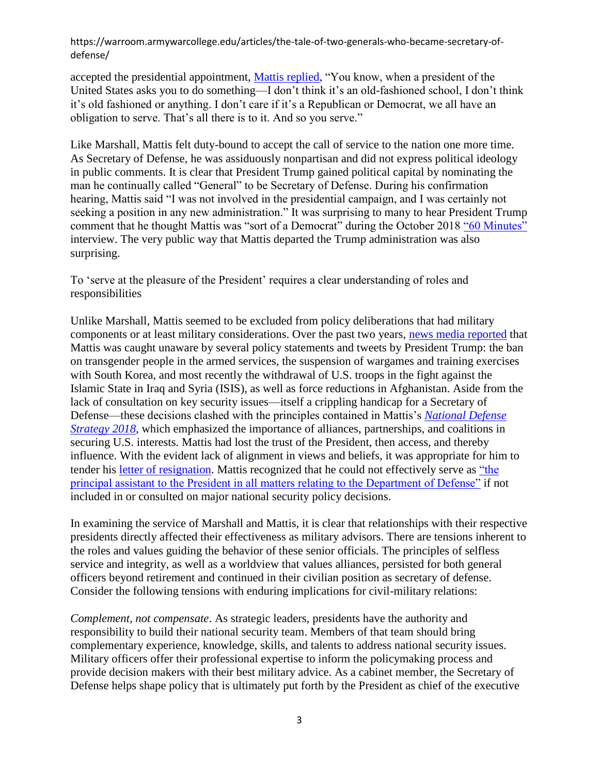accepted the presidential appointment, [Mattis replied,](https://www.businessinsider.com/mattis-serve-under-trump-2017-8) "You know, when a president of the United States asks you to do something—I don't think it's an old-fashioned school, I don't think it's old fashioned or anything. I don't care if it's a Republican or Democrat, we all have an obligation to serve. That's all there is to it. And so you serve."

Like Marshall, Mattis felt duty-bound to accept the call of service to the nation one more time. As Secretary of Defense, he was assiduously nonpartisan and did not express political ideology in public comments. It is clear that President Trump gained political capital by nominating the man he continually called "General" to be Secretary of Defense. During his confirmation hearing, Mattis said "I was not involved in the presidential campaign, and I was certainly not seeking a position in any new administration." It was surprising to many to hear President Trump comment that he thought Mattis was "sort of a Democrat" during the October 2018 ["60 Minutes"](https://www.cbsnews.com/news/trump-60-minutes-interview-president-suggests-defense-secretary-james-mattis-could-be-next-to-leave-cabinet/) interview. The very public way that Mattis departed the Trump administration was also surprising.

To 'serve at the pleasure of the President' requires a clear understanding of roles and responsibilities

Unlike Marshall, Mattis seemed to be excluded from policy deliberations that had military components or at least military considerations. Over the past two years, [news media reported](https://www.cnbc.com/2018/07/31/trump-mattis-at-odds-on-key-issues-like-putin.html) that Mattis was caught unaware by several policy statements and tweets by President Trump: the ban on transgender people in the armed services, the suspension of wargames and training exercises with South Korea, and most recently the withdrawal of U.S. troops in the fight against the Islamic State in Iraq and Syria (ISIS), as well as force reductions in Afghanistan. Aside from the lack of consultation on key security issues—itself a crippling handicap for a Secretary of Defense—these decisions clashed with the principles contained in Mattis's *[National Defense](https://dod.defense.gov/Portals/1/Documents/pubs/2018-National-Defense-Strategy-Summary.pdf)  [Strategy 2018](https://dod.defense.gov/Portals/1/Documents/pubs/2018-National-Defense-Strategy-Summary.pdf)*, which emphasized the importance of alliances, partnerships, and coalitions in securing U.S. interests. Mattis had lost the trust of the President, then access, and thereby influence. With the evident lack of alignment in views and beliefs, it was appropriate for him to tender his [letter of resignation.](https://upload.wikimedia.org/wikipedia/commons/8/80/Resignation-Letter-From-Secretary-James-N-Mattis.pdf) Mattis recognized that he could not effectively serve as ["the](https://www.law.cornell.edu/uscode/text/10/113)  [principal assistant to the President in all matters relating to the Department of Defense"](https://www.law.cornell.edu/uscode/text/10/113) if not included in or consulted on major national security policy decisions.

In examining the service of Marshall and Mattis, it is clear that relationships with their respective presidents directly affected their effectiveness as military advisors. There are tensions inherent to the roles and values guiding the behavior of these senior officials. The principles of selfless service and integrity, as well as a worldview that values alliances, persisted for both general officers beyond retirement and continued in their civilian position as secretary of defense. Consider the following tensions with enduring implications for civil-military relations:

*Complement, not compensate*. As strategic leaders, presidents have the authority and responsibility to build their national security team. Members of that team should bring complementary experience, knowledge, skills, and talents to address national security issues. Military officers offer their professional expertise to inform the policymaking process and provide decision makers with their best military advice. As a cabinet member, the Secretary of Defense helps shape policy that is ultimately put forth by the President as chief of the executive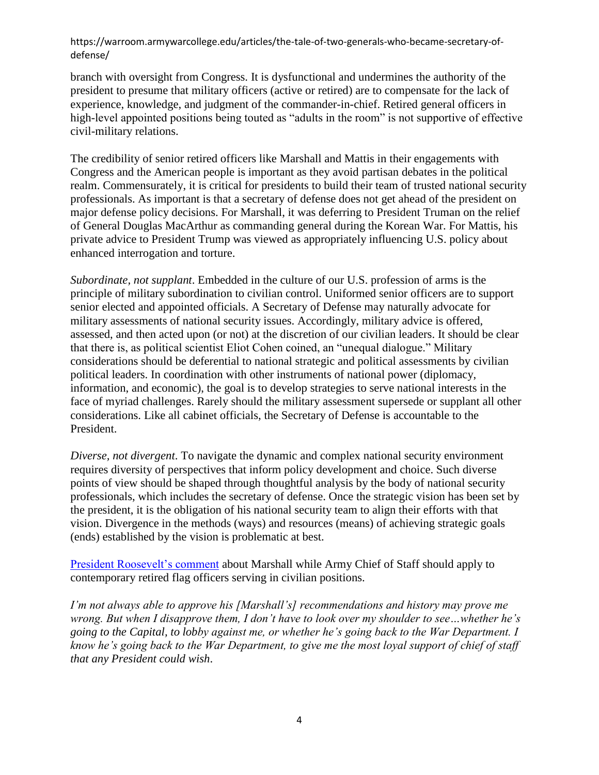branch with oversight from Congress. It is dysfunctional and undermines the authority of the president to presume that military officers (active or retired) are to compensate for the lack of experience, knowledge, and judgment of the commander-in-chief. Retired general officers in high-level appointed positions being touted as "adults in the room" is not supportive of effective civil-military relations.

The credibility of senior retired officers like Marshall and Mattis in their engagements with Congress and the American people is important as they avoid partisan debates in the political realm. Commensurately, it is critical for presidents to build their team of trusted national security professionals. As important is that a secretary of defense does not get ahead of the president on major defense policy decisions. For Marshall, it was deferring to President Truman on the relief of General Douglas MacArthur as commanding general during the Korean War. For Mattis, his private advice to President Trump was viewed as appropriately influencing U.S. policy about enhanced interrogation and torture.

*Subordinate, not supplant*. Embedded in the culture of our U.S. profession of arms is the principle of military subordination to civilian control. Uniformed senior officers are to support senior elected and appointed officials. A Secretary of Defense may naturally advocate for military assessments of national security issues. Accordingly, military advice is offered, assessed, and then acted upon (or not) at the discretion of our civilian leaders. It should be clear that there is, as political scientist Eliot Cohen coined, an "unequal dialogue." Military considerations should be deferential to national strategic and political assessments by civilian political leaders. In coordination with other instruments of national power (diplomacy, information, and economic), the goal is to develop strategies to serve national interests in the face of myriad challenges. Rarely should the military assessment supersede or supplant all other considerations. Like all cabinet officials, the Secretary of Defense is accountable to the President.

*Diverse, not divergent*. To navigate the dynamic and complex national security environment requires diversity of perspectives that inform policy development and choice. Such diverse points of view should be shaped through thoughtful analysis by the body of national security professionals, which includes the secretary of defense. Once the strategic vision has been set by the president, it is the obligation of his national security team to align their efforts with that vision. Divergence in the methods (ways) and resources (means) of achieving strategic goals (ends) established by the vision is problematic at best.

[President Roosevelt's comment](https://books.google.com/books?id=qcSgPAAACAAJ&dq=george+c+marshall+husted&hl=en&sa=X&ved=0ahUKEwj4iNyGyubfAhVhT98KHdenCEoQ6AEIKDAA) about Marshall while Army Chief of Staff should apply to contemporary retired flag officers serving in civilian positions.

*I'm not always able to approve his [Marshall's] recommendations and history may prove me wrong. But when I disapprove them, I don't have to look over my shoulder to see…whether he's going to the Capital, to lobby against me, or whether he's going back to the War Department. I know he's going back to the War Department, to give me the most loyal support of chief of staff that any President could wish*.